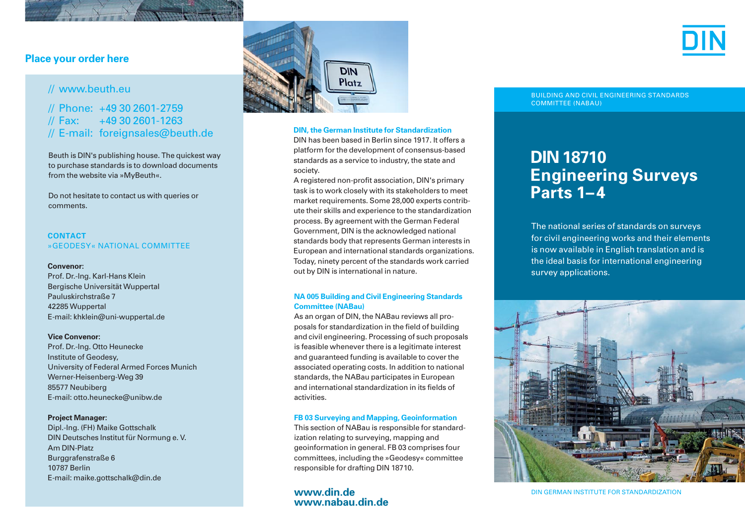## **Place your order here**

# // www.beuth.eu

# // Phone: +49 30 2601-2759<br>// Fax: +49 30 2601-1263 // Fax: +49 30 2601-1263 // E-mail: foreignsales@beuth.de

Beuth is DIN's publishing house. The quickest way to purchase standards is to down load documents from the website via »MyBeuth«.

Do not hesitate to contact us with queries or comments.

## **CONTACT**  »GEODESY« NATIONAL COMMITTEE

## **Convenor:**

Prof. Dr.-Ing. Karl-Hans Klein Bergische Universität Wuppertal Pauluskirchstraße 7 42285 Wuppertal E-mail: khklein@uni-wuppertal.de

## **Vice Convenor:**

Prof. Dr.-Ing. Otto Heunecke Institute of Geodesy, University of Federal Armed Forces Munich Werner-Heisenberg-Weg 39 85577 Neubiberg E-mail: otto.heunecke@unibw.de

#### **Project Manager:**

Dipl.-Ing. (FH) Maike Gottschalk DIN Deutsches Institut für Normung e. V. Am DIN-Platz Burggrafenstraße 6 10787 Berlin E-mail: maike.gottschalk@din.de



## **DIN, the German Institute for Standardization**

DIN has been based in Berlin since 1917. It offers a plat form for the development of consensus-based standards as a service to industry, the state and society.

A registered non-profit association, DIN's primary task is to work closely with its stakeholders to meet market requirements. Some 28,000 experts contribute their skills and experience to the standardization process. By agreement with the German Federal Government, DIN is the acknowledged national standards body that represents German interests in European and international standards organizations. Today, ninety percent of the standards work carried out by DIN is international in nature.

## **NA 005 Building and Civil Engineering Standards Committee (NABau)**

As an organ of DIN, the NABau reviews all proposals for standardization in the field of building and civil engineering. Processing of such proposals is feasible whenever there is a legitimate interest and guaranteed funding is available to cover the associated operating costs. In addition to national standards, the NABau participates in European and international standardization in its fields of activities.

## **FB 03 Surveying and Mapping, Geoinformation**

This section of NABau is responsible for standardization relating to surveying, mapping and geo information in general. FB 03 comprises four committees, including the »Geodesy« committee responsible for drafting DIN 18710.

## **www.din.de www.nabau.din.de**

BUILDING AND CIVIL ENGINEERING STANDARDS COMMITTEE (NABAU)

# **DIN 18710 Engineering Surveys Parts 1–4**

The national series of standards on surveys for civil engineering works and their elements is now available in English translation and is the ideal basis for international engineering survey applications.



DIN GERMAN INSTITUTE FOR STANDARDIZATION